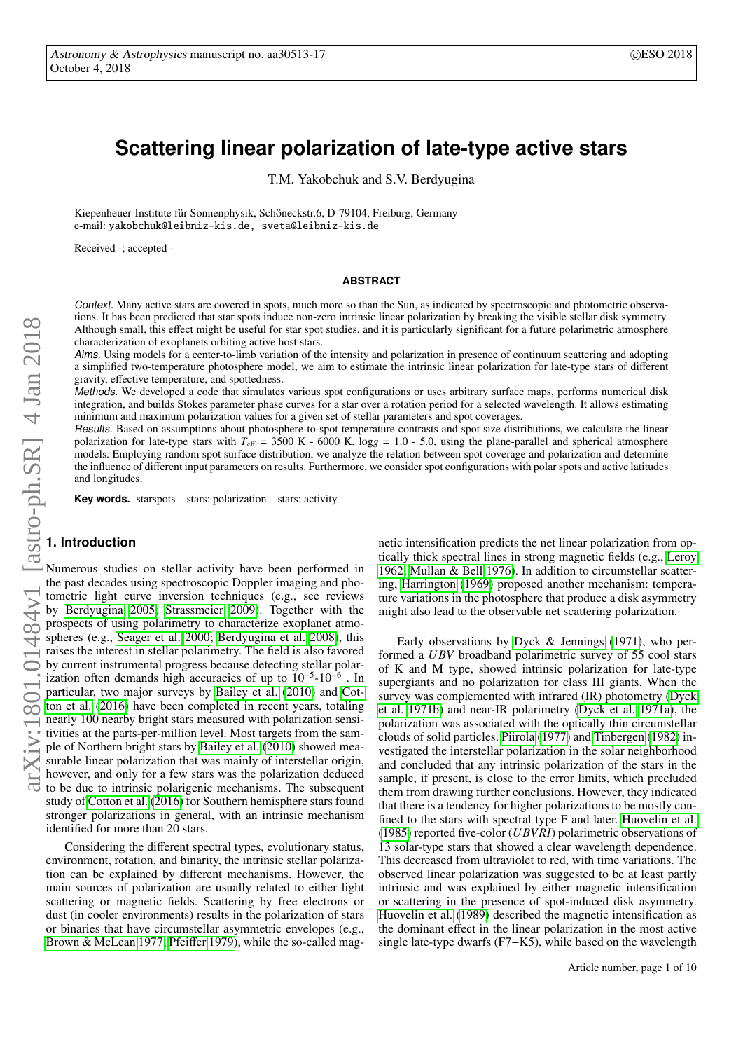# **Scattering linear polarization of late-type active stars**

T.M. Yakobchuk and S.V. Berdyugina

Kiepenheuer-Institute für Sonnenphysik, Schöneckstr.6, D-79104, Freiburg, Germany e-mail: yakobchuk@leibniz-kis.de, sveta@leibniz-kis.de

Received -; accepted -

#### **ABSTRACT**

Context. Many active stars are covered in spots, much more so than the Sun, as indicated by spectroscopic and photometric observations. It has been predicted that star spots induce non-zero intrinsic linear polarization by breaking the visible stellar disk symmetry. Although small, this effect might be useful for star spot studies, and it is particularly significant for a future polarimetric atmosphere characterization of exoplanets orbiting active host stars.

Aims. Using models for a center-to-limb variation of the intensity and polarization in presence of continuum scattering and adopting a simplified two-temperature photosphere model, we aim to estimate the intrinsic linear polarization for late-type stars of different gravity, effective temperature, and spottedness.

Methods. We developed a code that simulates various spot configurations or uses arbitrary surface maps, performs numerical disk integration, and builds Stokes parameter phase curves for a star over a rotation period for a selected wavelength. It allows estimating minimum and maximum polarization values for a given set of stellar parameters and spot coverages.

Results. Based on assumptions about photosphere-to-spot temperature contrasts and spot size distributions, we calculate the linear polarization for late-type stars with  $T_{\text{eff}} = 3500 \text{ K} - 6000 \text{ K}$ , logg = 1.0 - 5.0, using the plane-parallel and spherical atmosphere models. Employing random spot surface distribution, we analyze the relation between spot coverage and polarization and determine the influence of different input parameters on results. Furthermore, we consider spot configurations with polar spots and active latitudes and longitudes.

**Key words.** starspots – stars: polarization – stars: activity

## **1. Introduction**

Numerous studies on stellar activity have been performed in the past decades using spectroscopic Doppler imaging and photometric light curve inversion techniques (e.g., see reviews by [Berdyugina 2005;](#page-8-0) [Strassmeier 2009\)](#page-9-0). Together with the prospects of using polarimetry to characterize exoplanet atmospheres (e.g., [Seager et al. 2000;](#page-9-1) [Berdyugina et al. 2008\)](#page-8-1), this raises the interest in stellar polarimetry. The field is also favored by current instrumental progress because detecting stellar polarization often demands high accuracies of up to  $10^{-5}$ - $10^{-6}$ . In particular, two major surveys by [Bailey et al.](#page-8-2) [\(2010\)](#page-8-2) and [Cot](#page-9-2)[ton et al.](#page-9-2) [\(2016\)](#page-9-2) have been completed in recent years, totaling nearly 100 nearby bright stars measured with polarization sensitivities at the parts-per-million level. Most targets from the sample of Northern bright stars by [Bailey et al.](#page-8-2) [\(2010\)](#page-8-2) showed measurable linear polarization that was mainly of interstellar origin, however, and only for a few stars was the polarization deduced to be due to intrinsic polarigenic mechanisms. The subsequent study of [Cotton et al.](#page-9-2) [\(2016\)](#page-9-2) for Southern hemisphere stars found stronger polarizations in general, with an intrinsic mechanism identified for more than 20 stars.

Considering the different spectral types, evolutionary status, environment, rotation, and binarity, the intrinsic stellar polarization can be explained by different mechanisms. However, the main sources of polarization are usually related to either light scattering or magnetic fields. Scattering by free electrons or dust (in cooler environments) results in the polarization of stars or binaries that have circumstellar asymmetric envelopes (e.g., [Brown & McLean 1977;](#page-8-3) [Pfei](#page-9-3)ffer [1979\)](#page-9-3), while the so-called mag-

netic intensification predicts the net linear polarization from optically thick spectral lines in strong magnetic fields (e.g., [Leroy](#page-9-4) [1962;](#page-9-4) [Mullan & Bell 1976\)](#page-9-5). In addition to circumstellar scattering, [Harrington](#page-9-6) [\(1969\)](#page-9-6) proposed another mechanism: temperature variations in the photosphere that produce a disk asymmetry might also lead to the observable net scattering polarization.

Early observations by [Dyck & Jennings](#page-9-7) [\(1971\)](#page-9-7), who performed a *UBV* broadband polarimetric survey of 55 cool stars of K and M type, showed intrinsic polarization for late-type supergiants and no polarization for class III giants. When the survey was complemented with infrared (IR) photometry [\(Dyck](#page-9-8) [et al. 1971b\)](#page-9-8) and near-IR polarimetry [\(Dyck et al. 1971a\)](#page-9-9), the polarization was associated with the optically thin circumstellar clouds of solid particles. [Piirola](#page-9-10) [\(1977\)](#page-9-10) and [Tinbergen](#page-9-11) [\(1982\)](#page-9-11) investigated the interstellar polarization in the solar neighborhood and concluded that any intrinsic polarization of the stars in the sample, if present, is close to the error limits, which precluded them from drawing further conclusions. However, they indicated that there is a tendency for higher polarizations to be mostly confined to the stars with spectral type F and later. [Huovelin et al.](#page-9-12) [\(1985\)](#page-9-12) reported five-color (*UBVRI*) polarimetric observations of 13 solar-type stars that showed a clear wavelength dependence. This decreased from ultraviolet to red, with time variations. The observed linear polarization was suggested to be at least partly intrinsic and was explained by either magnetic intensification or scattering in the presence of spot-induced disk asymmetry. [Huovelin et al.](#page-9-13) [\(1989\)](#page-9-13) described the magnetic intensification as the dominant effect in the linear polarization in the most active single late-type dwarfs (F7−K5), while based on the wavelength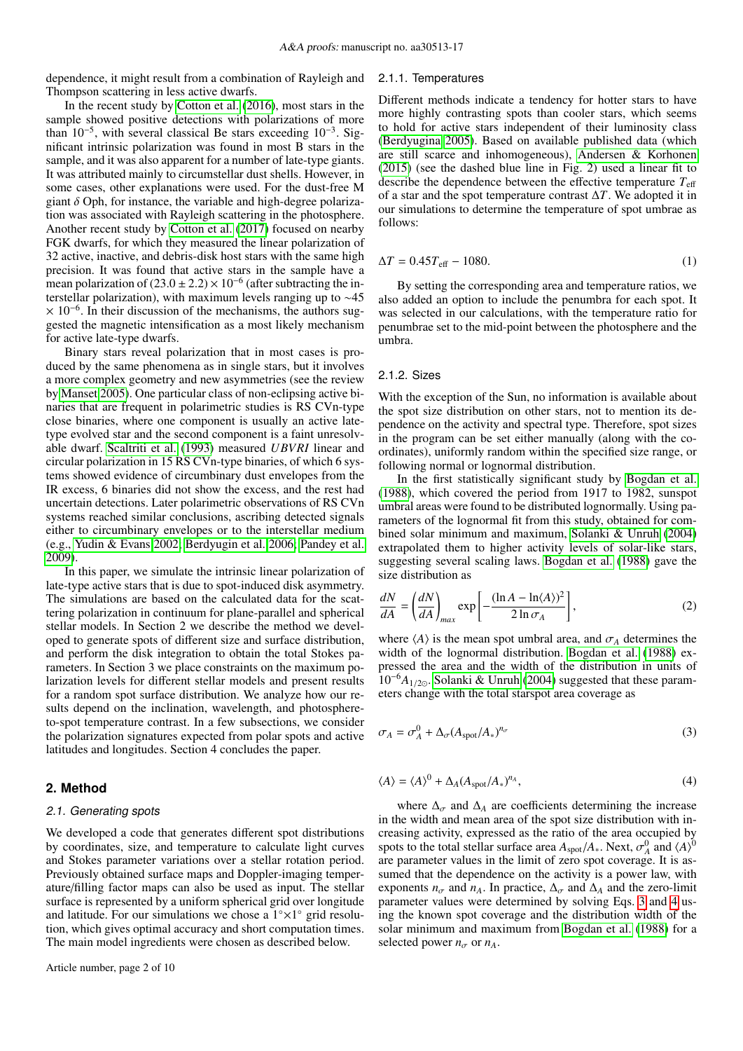dependence, it might result from a combination of Rayleigh and Thompson scattering in less active dwarfs.

In the recent study by [Cotton et al.](#page-9-2) [\(2016\)](#page-9-2), most stars in the sample showed positive detections with polarizations of more than 10−<sup>5</sup> , with several classical Be stars exceeding 10−<sup>3</sup> . Significant intrinsic polarization was found in most B stars in the sample, and it was also apparent for a number of late-type giants. It was attributed mainly to circumstellar dust shells. However, in some cases, other explanations were used. For the dust-free M giant  $\delta$  Oph, for instance, the variable and high-degree polarization was associated with Rayleigh scattering in the photosphere. Another recent study by [Cotton et al.](#page-9-14) [\(2017\)](#page-9-14) focused on nearby FGK dwarfs, for which they measured the linear polarization of 32 active, inactive, and debris-disk host stars with the same high precision. It was found that active stars in the sample have a mean polarization of  $(23.0 \pm 2.2) \times 10^{-6}$  (after subtracting the interstellar polarization), with maximum levels ranging up to ∼45 × 10−<sup>6</sup> . In their discussion of the mechanisms, the authors suggested the magnetic intensification as a most likely mechanism for active late-type dwarfs.

Binary stars reveal polarization that in most cases is produced by the same phenomena as in single stars, but it involves a more complex geometry and new asymmetries (see the review by [Manset 2005\)](#page-9-15). One particular class of non-eclipsing active binaries that are frequent in polarimetric studies is RS CVn-type close binaries, where one component is usually an active latetype evolved star and the second component is a faint unresolvable dwarf. [Scaltriti et al.](#page-9-16) [\(1993\)](#page-9-16) measured *UBVRI* linear and circular polarization in 15 RS CVn-type binaries, of which 6 systems showed evidence of circumbinary dust envelopes from the IR excess, 6 binaries did not show the excess, and the rest had uncertain detections. Later polarimetric observations of RS CVn systems reached similar conclusions, ascribing detected signals either to circumbinary envelopes or to the interstellar medium (e.g., [Yudin & Evans 2002;](#page-9-17) [Berdyugin et al. 2006;](#page-8-4) [Pandey et al.](#page-9-18) [2009\)](#page-9-18).

In this paper, we simulate the intrinsic linear polarization of late-type active stars that is due to spot-induced disk asymmetry. The simulations are based on the calculated data for the scattering polarization in continuum for plane-parallel and spherical stellar models. In Section 2 we describe the method we developed to generate spots of different size and surface distribution, and perform the disk integration to obtain the total Stokes parameters. In Section 3 we place constraints on the maximum polarization levels for different stellar models and present results for a random spot surface distribution. We analyze how our results depend on the inclination, wavelength, and photosphereto-spot temperature contrast. In a few subsections, we consider the polarization signatures expected from polar spots and active latitudes and longitudes. Section 4 concludes the paper.

# **2. Method**

#### 2.1. Generating spots

We developed a code that generates different spot distributions by coordinates, size, and temperature to calculate light curves and Stokes parameter variations over a stellar rotation period. Previously obtained surface maps and Doppler-imaging temperature/filling factor maps can also be used as input. The stellar surface is represented by a uniform spherical grid over longitude and latitude. For our simulations we chose a 1◦×1 ◦ grid resolution, which gives optimal accuracy and short computation times. The main model ingredients were chosen as described below.

## 2.1.1. Temperatures

Different methods indicate a tendency for hotter stars to have more highly contrasting spots than cooler stars, which seems to hold for active stars independent of their luminosity class [\(Berdyugina 2005\)](#page-8-0). Based on available published data (which are still scarce and inhomogeneous), [Andersen & Korhonen](#page-8-5) [\(2015\)](#page-8-5) (see the dashed blue line in Fig. 2) used a linear fit to describe the dependence between the effective temperature  $T_{\text{eff}}$ of a star and the spot temperature contrast ∆*T*. We adopted it in our simulations to determine the temperature of spot umbrae as follows:

<span id="page-1-3"></span>
$$
\Delta T = 0.45 T_{\text{eff}} - 1080. \tag{1}
$$

By setting the corresponding area and temperature ratios, we also added an option to include the penumbra for each spot. It was selected in our calculations, with the temperature ratio for penumbrae set to the mid-point between the photosphere and the umbra.

## 2.1.2. Sizes

With the exception of the Sun, no information is available about the spot size distribution on other stars, not to mention its dependence on the activity and spectral type. Therefore, spot sizes in the program can be set either manually (along with the coordinates), uniformly random within the specified size range, or following normal or lognormal distribution.

In the first statistically significant study by [Bogdan et al.](#page-8-6) [\(1988\)](#page-8-6), which covered the period from 1917 to 1982, sunspot umbral areas were found to be distributed lognormally. Using parameters of the lognormal fit from this study, obtained for combined solar minimum and maximum, [Solanki & Unruh](#page-9-19) [\(2004\)](#page-9-19) extrapolated them to higher activity levels of solar-like stars, suggesting several scaling laws. [Bogdan et al.](#page-8-6) [\(1988\)](#page-8-6) gave the size distribution as

<span id="page-1-2"></span>
$$
\frac{dN}{dA} = \left(\frac{dN}{dA}\right)_{max} \exp\left[-\frac{(\ln A - \ln\langle A \rangle)^2}{2\ln \sigma_A}\right],\tag{2}
$$

where  $\langle A \rangle$  is the mean spot umbral area, and  $\sigma_A$  determines the width of the lognormal distribution. [Bogdan et al.](#page-8-6) [\(1988\)](#page-8-6) expressed the area and the width of the distribution in units of <sup>10</sup><sup>−</sup><sup>6</sup>*A*<sup>1</sup>/<sup>2</sup>. [Solanki & Unruh](#page-9-19) [\(2004\)](#page-9-19) suggested that these parameters change with the total starspot area coverage as

<span id="page-1-0"></span>
$$
\sigma_A = \sigma_A^0 + \Delta_{\sigma} (A_{\rm spot}/A_*)^{n_{\sigma}}
$$
\n(3)

<span id="page-1-1"></span>
$$
\langle A \rangle = \langle A \rangle^0 + \Delta_A (A_{\text{spot}} / A_*)^{n_A},\tag{4}
$$

where  $\Delta_{\sigma}$  and  $\Delta_{A}$  are coefficients determining the increase in the width and mean area of the spot size distribution with increasing activity, expressed as the ratio of the area occupied by spots to the total stellar surface area  $A_{\text{spot}}/A_*$ . Next,  $\sigma_A^0$  and  $\langle A \rangle^0$  are parameter values in the limit of zero spot coverage. It is asare parameter values in the limit of zero spot coverage. It is assumed that the dependence on the activity is a power law, with exponents  $n_{\sigma}$  and  $n_A$ . In practice,  $\Delta_{\sigma}$  and  $\Delta_A$  and the zero-limit parameter values were determined by solving Eqs. [3](#page-1-0) and [4](#page-1-1) using the known spot coverage and the distribution width of the solar minimum and maximum from [Bogdan et al.](#page-8-6) [\(1988\)](#page-8-6) for a selected power  $n_{\sigma}$  or  $n_A$ .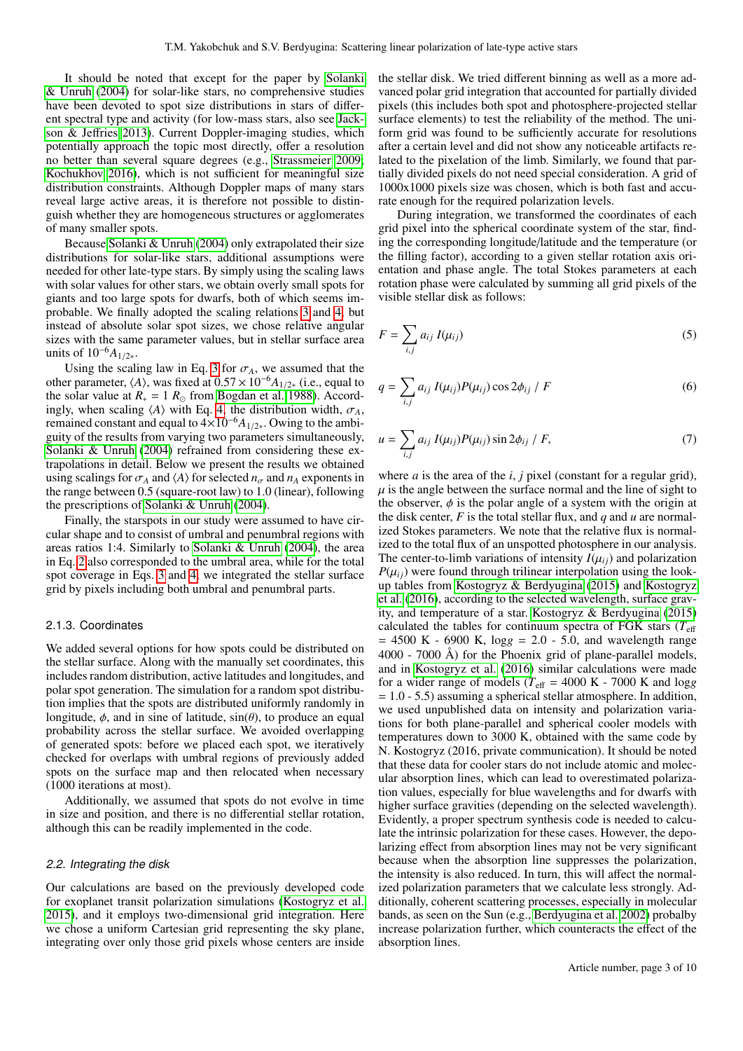It should be noted that except for the paper by [Solanki](#page-9-19) [& Unruh](#page-9-19) [\(2004\)](#page-9-19) for solar-like stars, no comprehensive studies have been devoted to spot size distributions in stars of different spectral type and activity (for low-mass stars, also see [Jack](#page-9-20)[son & Je](#page-9-20)ffries [2013\)](#page-9-20). Current Doppler-imaging studies, which potentially approach the topic most directly, offer a resolution no better than several square degrees (e.g., [Strassmeier 2009;](#page-9-0) [Kochukhov 2016\)](#page-9-21), which is not sufficient for meaningful size distribution constraints. Although Doppler maps of many stars reveal large active areas, it is therefore not possible to distinguish whether they are homogeneous structures or agglomerates of many smaller spots.

Because [Solanki & Unruh](#page-9-19) [\(2004\)](#page-9-19) only extrapolated their size distributions for solar-like stars, additional assumptions were needed for other late-type stars. By simply using the scaling laws with solar values for other stars, we obtain overly small spots for giants and too large spots for dwarfs, both of which seems improbable. We finally adopted the scaling relations [3](#page-1-0) and [4,](#page-1-1) but instead of absolute solar spot sizes, we chose relative angular sizes with the same parameter values, but in stellar surface area units of 10−6*A*1/2∗.

Using the scaling law in Eq. [3](#page-1-0) for  $\sigma_A$ , we assumed that the other parameter,  $\langle A \rangle$ , was fixed at  $0.57 \times 10^{-6} A_{1/2*}$  (i.e., equal to the solar value at  $R_* = 1 R_{\odot}$  from [Bogdan et al. 1988\)](#page-8-6). Accordingly, when scaling  $\langle A \rangle$  with Eq. [4,](#page-1-1) the distribution width,  $\sigma_A$ , remained constant and equal to 4×10<sup>−</sup><sup>6</sup>*A*<sup>1</sup>/2<sup>∗</sup>. Owing to the ambiguity of the results from varying two parameters simultaneously, [Solanki & Unruh](#page-9-19) [\(2004\)](#page-9-19) refrained from considering these extrapolations in detail. Below we present the results we obtained using scalings for  $\sigma_A$  and  $\langle A \rangle$  for selected  $n_\sigma$  and  $n_A$  exponents in the range between 0.5 (square-root law) to 1.0 (linear), following the prescriptions of [Solanki & Unruh](#page-9-19) [\(2004\)](#page-9-19).

Finally, the starspots in our study were assumed to have circular shape and to consist of umbral and penumbral regions with areas ratios 1:4. Similarly to [Solanki & Unruh](#page-9-19) [\(2004\)](#page-9-19), the area in Eq. [2](#page-1-2) also corresponded to the umbral area, while for the total spot coverage in Eqs. [3](#page-1-0) and [4,](#page-1-1) we integrated the stellar surface grid by pixels including both umbral and penumbral parts.

#### 2.1.3. Coordinates

We added several options for how spots could be distributed on the stellar surface. Along with the manually set coordinates, this includes random distribution, active latitudes and longitudes, and polar spot generation. The simulation for a random spot distribution implies that the spots are distributed uniformly randomly in longitude,  $\phi$ , and in sine of latitude,  $sin(\theta)$ , to produce an equal probability across the stellar surface. We avoided overlapping of generated spots: before we placed each spot, we iteratively checked for overlaps with umbral regions of previously added spots on the surface map and then relocated when necessary (1000 iterations at most).

Additionally, we assumed that spots do not evolve in time in size and position, and there is no differential stellar rotation, although this can be readily implemented in the code.

#### 2.2. Integrating the disk

Our calculations are based on the previously developed code for exoplanet transit polarization simulations [\(Kostogryz et al.](#page-9-22) [2015\)](#page-9-22), and it employs two-dimensional grid integration. Here we chose a uniform Cartesian grid representing the sky plane, integrating over only those grid pixels whose centers are inside

the stellar disk. We tried different binning as well as a more advanced polar grid integration that accounted for partially divided pixels (this includes both spot and photosphere-projected stellar surface elements) to test the reliability of the method. The uniform grid was found to be sufficiently accurate for resolutions after a certain level and did not show any noticeable artifacts related to the pixelation of the limb. Similarly, we found that partially divided pixels do not need special consideration. A grid of 1000x1000 pixels size was chosen, which is both fast and accurate enough for the required polarization levels.

During integration, we transformed the coordinates of each grid pixel into the spherical coordinate system of the star, finding the corresponding longitude/latitude and the temperature (or the filling factor), according to a given stellar rotation axis orientation and phase angle. The total Stokes parameters at each rotation phase were calculated by summing all grid pixels of the visible stellar disk as follows:

<span id="page-2-0"></span>
$$
F = \sum_{i,j} a_{ij} I(\mu_{ij})
$$
\n(5)

$$
q = \sum_{i,j} a_{ij} I(\mu_{ij}) P(\mu_{ij}) \cos 2\phi_{ij} / F
$$
 (6)

<span id="page-2-1"></span>
$$
u = \sum_{i,j} a_{ij} I(\mu_{ij}) P(\mu_{ij}) \sin 2\phi_{ij} / F,
$$
 (7)

where  $a$  is the area of the  $i$ ,  $j$  pixel (constant for a regular grid),  $\mu$  is the angle between the surface normal and the line of sight to the observer,  $\phi$  is the polar angle of a system with the origin at the disk center, *F* is the total stellar flux, and *q* and *u* are normalized Stokes parameters. We note that the relative flux is normalized to the total flux of an unspotted photosphere in our analysis. The center-to-limb variations of intensity  $I(\mu_{ij})$  and polarization  $P(\mu_{ij})$  were found through trilinear interpolation using the lookup tables from [Kostogryz & Berdyugina](#page-9-23) [\(2015\)](#page-9-23) and [Kostogryz](#page-9-24) [et al.](#page-9-24) [\(2016\)](#page-9-24), according to the selected wavelength, surface gravity, and temperature of a star. [Kostogryz & Berdyugina](#page-9-23) [\(2015\)](#page-9-23) calculated the tables for continuum spectra of FGK stars (*T*eff  $= 4500$  K - 6900 K,  $logg = 2.0$  - 5.0, and wavelength range  $4000 - 7000$  Å) for the Phoenix grid of plane-parallel models, and in [Kostogryz et al.](#page-9-24) [\(2016\)](#page-9-24) similar calculations were made for a wider range of models ( $T_{\text{eff}}$  = 4000 K - 7000 K and logg  $= 1.0 - 5.5$ ) assuming a spherical stellar atmosphere. In addition, we used unpublished data on intensity and polarization variations for both plane-parallel and spherical cooler models with temperatures down to 3000 K, obtained with the same code by N. Kostogryz (2016, private communication). It should be noted that these data for cooler stars do not include atomic and molecular absorption lines, which can lead to overestimated polarization values, especially for blue wavelengths and for dwarfs with higher surface gravities (depending on the selected wavelength). Evidently, a proper spectrum synthesis code is needed to calculate the intrinsic polarization for these cases. However, the depolarizing effect from absorption lines may not be very significant because when the absorption line suppresses the polarization, the intensity is also reduced. In turn, this will affect the normalized polarization parameters that we calculate less strongly. Additionally, coherent scattering processes, especially in molecular bands, as seen on the Sun (e.g., [Berdyugina et al. 2002\)](#page-8-7) probalby increase polarization further, which counteracts the effect of the absorption lines.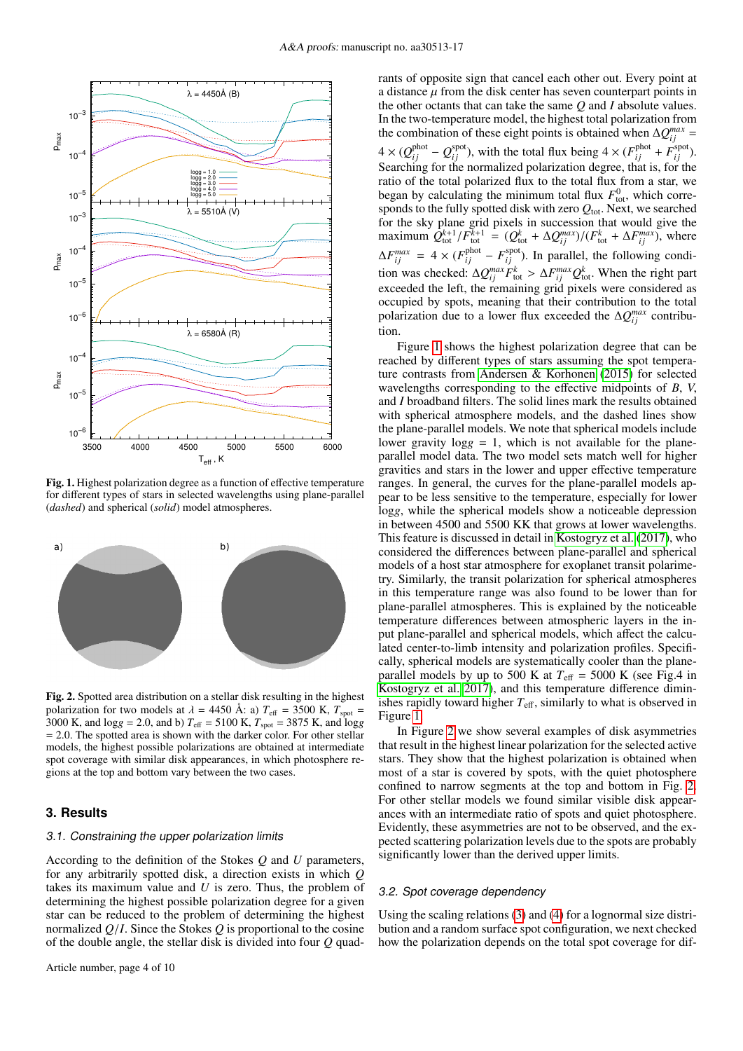

<span id="page-3-0"></span>Fig. 1. Highest polarization degree as a function of effective temperature for different types of stars in selected wavelengths using plane-parallel (*dashed*) and spherical (*solid*) model atmospheres.



<span id="page-3-1"></span>Fig. 2. Spotted area distribution on a stellar disk resulting in the highest polarization for two models at  $\lambda = 4450$  Å: a)  $T_{\text{eff}} = 3500$  K,  $T_{\text{spot}} = 3000$  K, and logg = 2.0, and b)  $T_{\text{eff}} = 5100$  K,  $T_{\text{spot}} = 3875$  K, and logg  $= 2.0$ . The spotted area is shown with the darker color. For other stellar models, the highest possible polarizations are obtained at intermediate spot coverage with similar disk appearances, in which photosphere regions at the top and bottom vary between the two cases.

# **3. Results**

#### 3.1. Constraining the upper polarization limits

According to the definition of the Stokes *Q* and *U* parameters, for any arbitrarily spotted disk, a direction exists in which *Q* takes its maximum value and *U* is zero. Thus, the problem of determining the highest possible polarization degree for a given star can be reduced to the problem of determining the highest normalized *<sup>Q</sup>*/*I*. Since the Stokes *<sup>Q</sup>* is proportional to the cosine of the double angle, the stellar disk is divided into four *Q* quadrants of opposite sign that cancel each other out. Every point at a distance  $\mu$  from the disk center has seven counterpart points in the other octants that can take the same *Q* and *I* absolute values. In the two-temperature model, the highest total polarization from the combination of these eight points is obtained when  $\Delta Q_{ij}^{max}$  =  $4 \times (Q_{ij}^{\text{phot}} - Q_{ij}^{\text{spot}})$ , with the total flux being  $4 \times (F_{ij}^{\text{phot}} + F_{ij}^{\text{spot}})$ . Searching for the normalized polarization degree, that is, for the ratio of the total polarized flux to the total flux from a star, we began by calculating the minimum total flux  $F_{\text{tot}}^0$ , which corresponds to the fully spotted disk with zero *Q*tot. Next, we searched for the sky plane grid pixels in succession that would give the maximum  $\overline{Q}_{\text{tot}}^{k+1}/F_{\text{tot}}^{k+1} = (Q_{\text{tot}}^k + \Delta Q_{ij}^{max})/(F_{\text{tot}}^k + \Delta F_{ij}^{max})$ , where  $\Delta F_{ij}^{max} = 4 \times (F_{ij}^{phot} - F_{ij}^{spot})$ . In parallel, the following condition was checked:  $\Delta Q_{ij}^{max} F_{\text{tot}}^k > \Delta F_{ij}^{max} Q_{\text{tot}}^k$ . When the right part exceeded the left, the remaining grid pixels were considered as occupied by spots, meaning that their contribution to the total polarization due to a lower flux exceeded the  $\Delta Q_{ij}^{max}$  contribution.

Figure [1](#page-3-0) shows the highest polarization degree that can be reached by different types of stars assuming the spot temperature contrasts from [Andersen & Korhonen](#page-8-5) [\(2015\)](#page-8-5) for selected wavelengths corresponding to the effective midpoints of *<sup>B</sup>*, *<sup>V</sup>*, and *I* broadband filters. The solid lines mark the results obtained with spherical atmosphere models, and the dashed lines show the plane-parallel models. We note that spherical models include lower gravity  $\log g = 1$ , which is not available for the planeparallel model data. The two model sets match well for higher gravities and stars in the lower and upper effective temperature ranges. In general, the curves for the plane-parallel models appear to be less sensitive to the temperature, especially for lower log*g*, while the spherical models show a noticeable depression in between 4500 and 5500 KK that grows at lower wavelengths. This feature is discussed in detail in [Kostogryz et al.](#page-9-25) [\(2017\)](#page-9-25), who considered the differences between plane-parallel and spherical models of a host star atmosphere for exoplanet transit polarimetry. Similarly, the transit polarization for spherical atmospheres in this temperature range was also found to be lower than for plane-parallel atmospheres. This is explained by the noticeable temperature differences between atmospheric layers in the input plane-parallel and spherical models, which affect the calculated center-to-limb intensity and polarization profiles. Specifically, spherical models are systematically cooler than the planeparallel models by up to 500 K at  $T_{\text{eff}}$  = 5000 K (see Fig.4 in [Kostogryz et al. 2017\)](#page-9-25), and this temperature difference diminishes rapidly toward higher  $T_{\text{eff}}$ , similarly to what is observed in Figure [1.](#page-3-0)

In Figure [2](#page-3-1) we show several examples of disk asymmetries that result in the highest linear polarization for the selected active stars. They show that the highest polarization is obtained when most of a star is covered by spots, with the quiet photosphere confined to narrow segments at the top and bottom in Fig. [2.](#page-3-1) For other stellar models we found similar visible disk appearances with an intermediate ratio of spots and quiet photosphere. Evidently, these asymmetries are not to be observed, and the expected scattering polarization levels due to the spots are probably significantly lower than the derived upper limits.

#### 3.2. Spot coverage dependency

Using the scaling relations [\(3\)](#page-1-0) and [\(4\)](#page-1-1) for a lognormal size distribution and a random surface spot configuration, we next checked how the polarization depends on the total spot coverage for dif-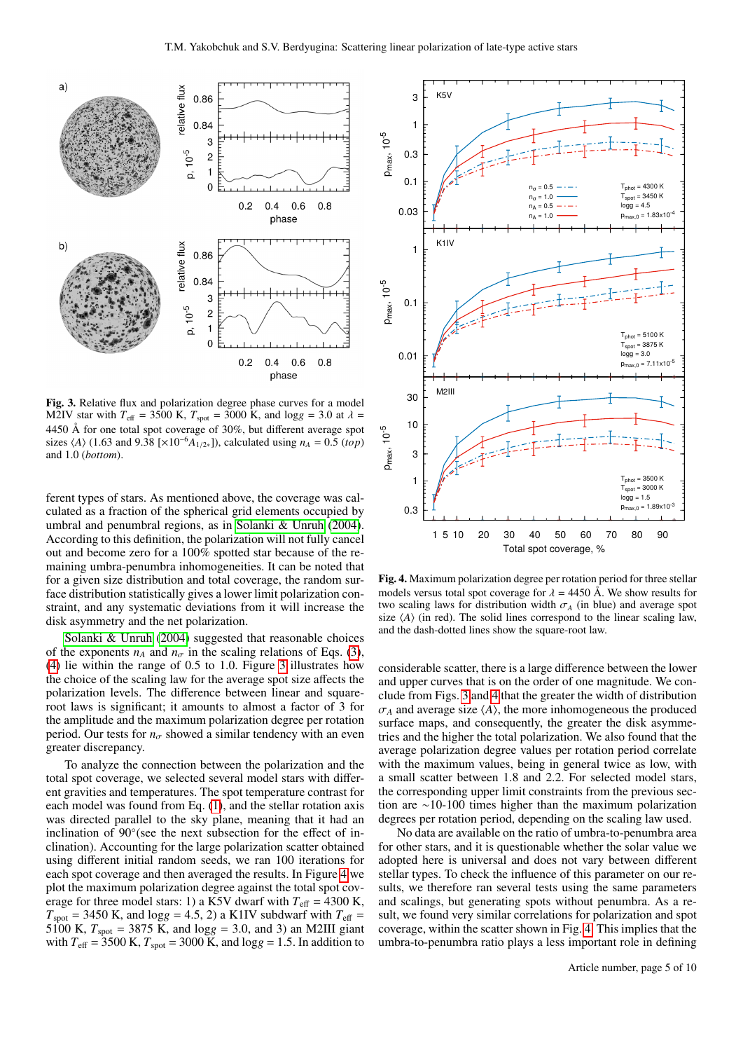

<span id="page-4-0"></span>Fig. 3. Relative flux and polarization degree phase curves for a model M2IV star with  $T_{\text{eff}}$  = 3500 K,  $T_{\text{spot}}$  = 3000 K, and log<sub>g</sub> = 3.0 at  $\lambda$  = 4450 Å for one total spot coverage of 30%, but different average spot sizes  $\langle A \rangle$  (1.63 and 9.38 [×10<sup>-6</sup>*A*<sub>1/2∗</sub>]), calculated using *n<sub>A</sub>* = 0.5 (*top*) and 1.0 (*bottom*).

ferent types of stars. As mentioned above, the coverage was calculated as a fraction of the spherical grid elements occupied by umbral and penumbral regions, as in [Solanki & Unruh](#page-9-19) [\(2004\)](#page-9-19). According to this definition, the polarization will not fully cancel out and become zero for a 100% spotted star because of the remaining umbra-penumbra inhomogeneities. It can be noted that for a given size distribution and total coverage, the random surface distribution statistically gives a lower limit polarization constraint, and any systematic deviations from it will increase the disk asymmetry and the net polarization.

[Solanki & Unruh](#page-9-19) [\(2004\)](#page-9-19) suggested that reasonable choices of the exponents  $n_A$  and  $n_\sigma$  in the scaling relations of Eqs. [\(3\)](#page-1-0), [\(4\)](#page-1-1) lie within the range of 0.5 to 1.0. Figure [3](#page-4-0) illustrates how the choice of the scaling law for the average spot size affects the polarization levels. The difference between linear and squareroot laws is significant; it amounts to almost a factor of 3 for the amplitude and the maximum polarization degree per rotation period. Our tests for  $n_{\sigma}$  showed a similar tendency with an even greater discrepancy.

To analyze the connection between the polarization and the total spot coverage, we selected several model stars with different gravities and temperatures. The spot temperature contrast for each model was found from Eq. [\(1\)](#page-1-3), and the stellar rotation axis was directed parallel to the sky plane, meaning that it had an inclination of 90◦ (see the next subsection for the effect of inclination). Accounting for the large polarization scatter obtained using different initial random seeds, we ran 100 iterations for each spot coverage and then averaged the results. In Figure [4](#page-4-1) we plot the maximum polarization degree against the total spot coverage for three model stars: 1) a K5V dwarf with  $T_{\text{eff}} = 4300 \text{ K}$ ,  $T_{\text{spot}} = 3450 \text{ K}$ , and  $\log g = 4.5$ , 2) a K1IV subdwarf with  $T_{\text{eff}} =$ 5100 K,  $T_{\text{spot}} = 3875$  K, and  $\log g = 3.0$ , and 3) an M2III giant with  $T_{\text{eff}} = 3500 \text{ K}$ ,  $T_{\text{spot}} = 3000 \text{ K}$ , and  $\log g = 1.5$ . In addition to



<span id="page-4-1"></span>Fig. 4. Maximum polarization degree per rotation period for three stellar models versus total spot coverage for  $\lambda = 4450$  Å. We show results for two scaling laws for distribution width  $\sigma_A$  (in blue) and average spot size  $\langle A \rangle$  (in red). The solid lines correspond to the linear scaling law, and the dash-dotted lines show the square-root law.

considerable scatter, there is a large difference between the lower and upper curves that is on the order of one magnitude. We conclude from Figs. [3](#page-4-0) and [4](#page-4-1) that the greater the width of distribution  $\sigma_A$  and average size  $\langle A \rangle$ , the more inhomogeneous the produced surface maps, and consequently, the greater the disk asymmetries and the higher the total polarization. We also found that the average polarization degree values per rotation period correlate with the maximum values, being in general twice as low, with a small scatter between 1.8 and 2.2. For selected model stars, the corresponding upper limit constraints from the previous section are ∼10-100 times higher than the maximum polarization degrees per rotation period, depending on the scaling law used.

No data are available on the ratio of umbra-to-penumbra area for other stars, and it is questionable whether the solar value we adopted here is universal and does not vary between different stellar types. To check the influence of this parameter on our results, we therefore ran several tests using the same parameters and scalings, but generating spots without penumbra. As a result, we found very similar correlations for polarization and spot coverage, within the scatter shown in Fig. [4.](#page-4-1) This implies that the umbra-to-penumbra ratio plays a less important role in defining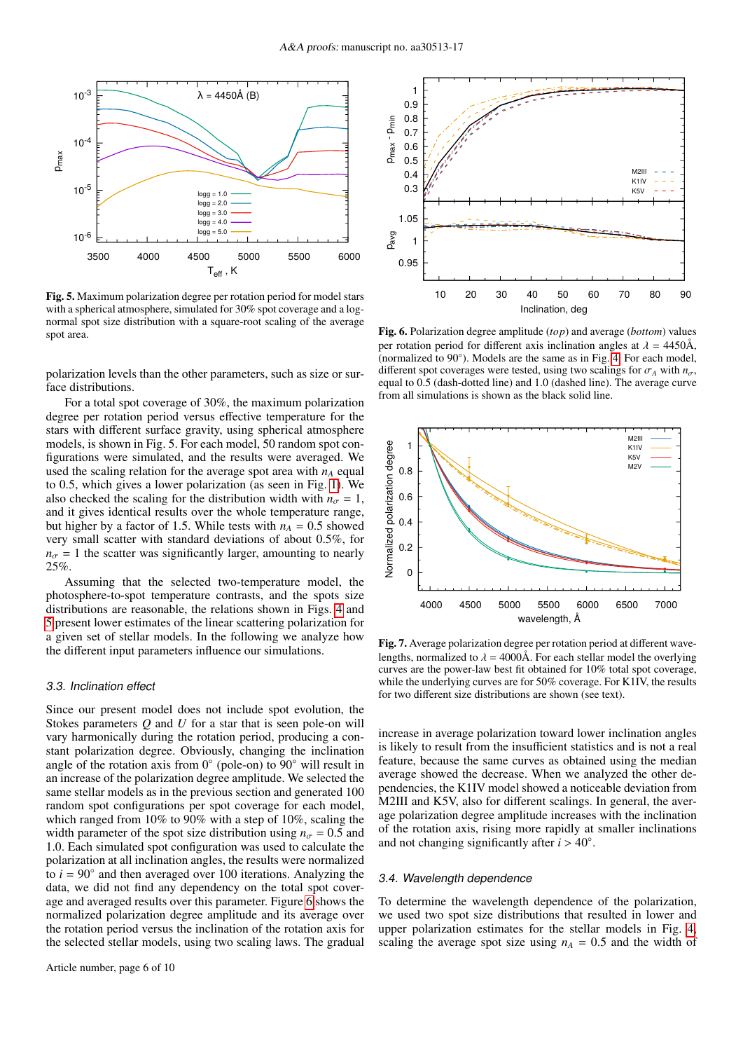

<span id="page-5-0"></span>Fig. 5. Maximum polarization degree per rotation period for model stars with a spherical atmosphere, simulated for 30% spot coverage and a lognormal spot size distribution with a square-root scaling of the average spot area.

polarization levels than the other parameters, such as size or surface distributions.

For a total spot coverage of 30%, the maximum polarization degree per rotation period versus effective temperature for the stars with different surface gravity, using spherical atmosphere models, is shown in Fig. 5. For each model, 50 random spot configurations were simulated, and the results were averaged. We used the scaling relation for the average spot area with  $n_A$  equal to 0.5, which gives a lower polarization (as seen in Fig. [1\)](#page-3-0). We also checked the scaling for the distribution width with  $n_{\sigma} = 1$ , and it gives identical results over the whole temperature range, but higher by a factor of 1.5. While tests with  $n_A = 0.5$  showed very small scatter with standard deviations of about 0.5%, for  $n_{\sigma} = 1$  the scatter was significantly larger, amounting to nearly 25%.

Assuming that the selected two-temperature model, the photosphere-to-spot temperature contrasts, and the spots size distributions are reasonable, the relations shown in Figs. [4](#page-4-1) and [5](#page-5-0) present lower estimates of the linear scattering polarization for a given set of stellar models. In the following we analyze how the different input parameters influence our simulations.

## 3.3. Inclination effect

Since our present model does not include spot evolution, the Stokes parameters *Q* and *U* for a star that is seen pole-on will vary harmonically during the rotation period, producing a constant polarization degree. Obviously, changing the inclination angle of the rotation axis from 0◦ (pole-on) to 90◦ will result in an increase of the polarization degree amplitude. We selected the same stellar models as in the previous section and generated 100 random spot configurations per spot coverage for each model, which ranged from 10% to 90% with a step of 10%, scaling the width parameter of the spot size distribution using  $n_{\sigma} = 0.5$  and 1.0. Each simulated spot configuration was used to calculate the polarization at all inclination angles, the results were normalized to  $i = 90^\circ$  and then averaged over 100 iterations. Analyzing the data, we did not find any dependency on the total spot coverage and averaged results over this parameter. Figure [6](#page-5-1) shows the normalized polarization degree amplitude and its average over the rotation period versus the inclination of the rotation axis for the selected stellar models, using two scaling laws. The gradual



<span id="page-5-1"></span>Fig. 6. Polarization degree amplitude (*top*) and average (*bottom*) values per rotation period for different axis inclination angles at  $\lambda = 4450$ Å, (normalized to 90◦ ). Models are the same as in Fig. [4.](#page-4-1) For each model, different spot coverages were tested, using two scalings for  $\sigma_A$  with  $n_{\sigma}$ , equal to 0.5 (dash-dotted line) and 1.0 (dashed line). The average curve from all simulations is shown as the black solid line.



<span id="page-5-2"></span>Fig. 7. Average polarization degree per rotation period at different wavelengths, normalized to  $\lambda = 4000$ Å. For each stellar model the overlying curves are the power-law best fit obtained for 10% total spot coverage, while the underlying curves are for 50% coverage. For K1IV, the results for two different size distributions are shown (see text).

increase in average polarization toward lower inclination angles is likely to result from the insufficient statistics and is not a real feature, because the same curves as obtained using the median average showed the decrease. When we analyzed the other dependencies, the K1IV model showed a noticeable deviation from M2III and K5V, also for different scalings. In general, the average polarization degree amplitude increases with the inclination of the rotation axis, rising more rapidly at smaller inclinations and not changing significantly after  $i > 40^\circ$ .

## 3.4. Wavelength dependence

To determine the wavelength dependence of the polarization, we used two spot size distributions that resulted in lower and upper polarization estimates for the stellar models in Fig. [4,](#page-4-1) scaling the average spot size using  $n_A = 0.5$  and the width of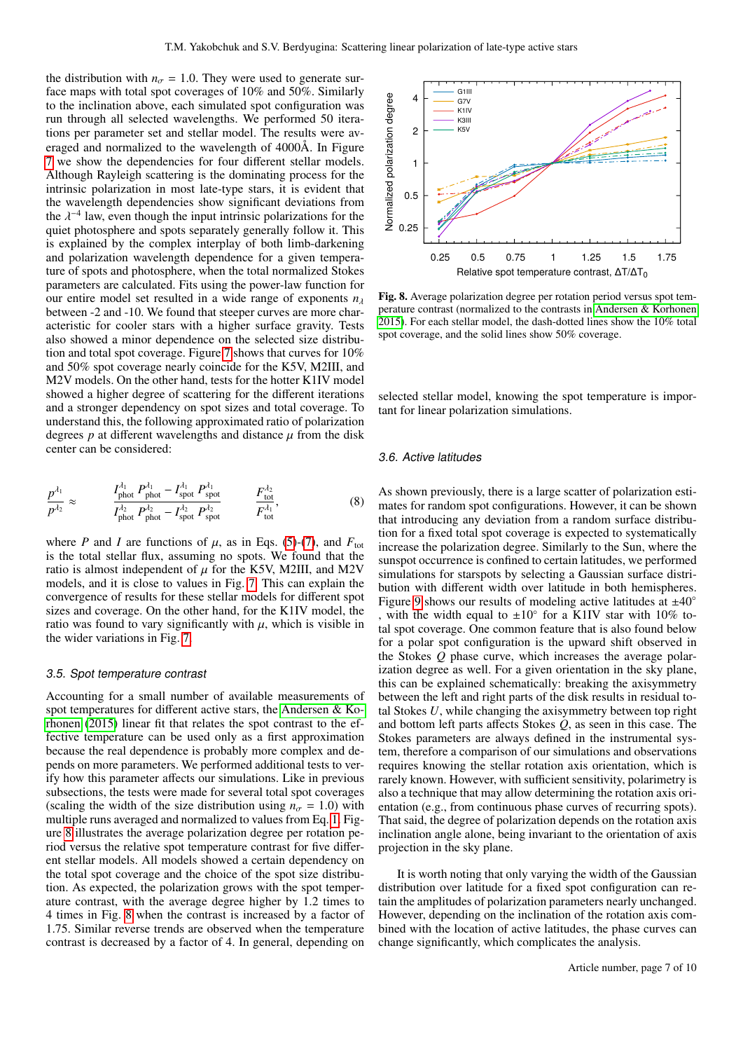the distribution with  $n_{\sigma} = 1.0$ . They were used to generate surface maps with total spot coverages of 10% and 50%. Similarly to the inclination above, each simulated spot configuration was run through all selected wavelengths. We performed 50 iterations per parameter set and stellar model. The results were averaged and normalized to the wavelength of 4000Å. In Figure [7](#page-5-2) we show the dependencies for four different stellar models. Although Rayleigh scattering is the dominating process for the intrinsic polarization in most late-type stars, it is evident that the wavelength dependencies show significant deviations from the  $\lambda^{-4}$  law, even though the input intrinsic polarizations for the quiet photosphere and spots separately generally follow it. This quiet photosphere and spots separately generally follow it. This is explained by the complex interplay of both limb-darkening and polarization wavelength dependence for a given temperature of spots and photosphere, when the total normalized Stokes parameters are calculated. Fits using the power-law function for our entire model set resulted in a wide range of exponents  $n<sub>\lambda</sub>$ between -2 and -10. We found that steeper curves are more characteristic for cooler stars with a higher surface gravity. Tests also showed a minor dependence on the selected size distribution and total spot coverage. Figure [7](#page-5-2) shows that curves for 10% and 50% spot coverage nearly coincide for the K5V, M2III, and M2V models. On the other hand, tests for the hotter K1IV model showed a higher degree of scattering for the different iterations and a stronger dependency on spot sizes and total coverage. To understand this, the following approximated ratio of polarization degrees  $p$  at different wavelengths and distance  $\mu$  from the disk center can be considered:

$$
\frac{p^{\lambda_1}}{p^{\lambda_2}} \approx \frac{I_{\text{phot}}^{\lambda_1} P_{\text{phot}}^{\lambda_1} - I_{\text{spot}}^{\lambda_1} P_{\text{spot}}^{\lambda_1}}{I_{\text{phot}}^{\lambda_2} P_{\text{phot}}^{\lambda_2} - I_{\text{spot}}^{\lambda_2} P_{\text{spot}}^{\lambda_2}} \frac{F_{\text{tot}}^{\lambda_2}}{F_{\text{tot}}^{\lambda_1}},\tag{8}
$$

where *P* and *I* are functions of  $\mu$ , as in Eqs. [\(5\)](#page-2-0)-[\(7\)](#page-2-1), and  $F_{\text{tot}}$ is the total stellar flux, assuming no spots. We found that the ratio is almost independent of  $\mu$  for the K5V, M2III, and M2V models, and it is close to values in Fig. [7.](#page-5-2) This can explain the convergence of results for these stellar models for different spot sizes and coverage. On the other hand, for the K1IV model, the ratio was found to vary significantly with  $\mu$ , which is visible in the wider variations in Fig. [7.](#page-5-2)

#### 3.5. Spot temperature contrast

Accounting for a small number of available measurements of spot temperatures for different active stars, the [Andersen & Ko](#page-8-5)[rhonen](#page-8-5) [\(2015\)](#page-8-5) linear fit that relates the spot contrast to the effective temperature can be used only as a first approximation because the real dependence is probably more complex and depends on more parameters. We performed additional tests to verify how this parameter affects our simulations. Like in previous subsections, the tests were made for several total spot coverages (scaling the width of the size distribution using  $n_{\sigma} = 1.0$ ) with multiple runs averaged and normalized to values from Eq. [1.](#page-1-3) Figure [8](#page-6-0) illustrates the average polarization degree per rotation period versus the relative spot temperature contrast for five different stellar models. All models showed a certain dependency on the total spot coverage and the choice of the spot size distribution. As expected, the polarization grows with the spot temperature contrast, with the average degree higher by 1.2 times to 4 times in Fig. [8](#page-6-0) when the contrast is increased by a factor of 1.75. Similar reverse trends are observed when the temperature contrast is decreased by a factor of 4. In general, depending on



<span id="page-6-0"></span>Fig. 8. Average polarization degree per rotation period versus spot temperature contrast (normalized to the contrasts in [Andersen & Korhonen](#page-8-5) [2015\)](#page-8-5). For each stellar model, the dash-dotted lines show the 10% total spot coverage, and the solid lines show 50% coverage.

selected stellar model, knowing the spot temperature is important for linear polarization simulations.

### 3.6. Active latitudes

As shown previously, there is a large scatter of polarization estimates for random spot configurations. However, it can be shown that introducing any deviation from a random surface distribution for a fixed total spot coverage is expected to systematically increase the polarization degree. Similarly to the Sun, where the sunspot occurrence is confined to certain latitudes, we performed simulations for starspots by selecting a Gaussian surface distribution with different width over latitude in both hemispheres. Figure [9](#page-7-0) shows our results of modeling active latitudes at  $\pm 40^\circ$ , with the width equal to  $\pm 10^{\circ}$  for a K1IV star with 10% total spot coverage. One common feature that is also found below for a polar spot configuration is the upward shift observed in the Stokes *Q* phase curve, which increases the average polarization degree as well. For a given orientation in the sky plane, this can be explained schematically: breaking the axisymmetry between the left and right parts of the disk results in residual total Stokes *U*, while changing the axisymmetry between top right and bottom left parts affects Stokes *Q*, as seen in this case. The Stokes parameters are always defined in the instrumental system, therefore a comparison of our simulations and observations requires knowing the stellar rotation axis orientation, which is rarely known. However, with sufficient sensitivity, polarimetry is also a technique that may allow determining the rotation axis orientation (e.g., from continuous phase curves of recurring spots). That said, the degree of polarization depends on the rotation axis inclination angle alone, being invariant to the orientation of axis projection in the sky plane.

It is worth noting that only varying the width of the Gaussian distribution over latitude for a fixed spot configuration can retain the amplitudes of polarization parameters nearly unchanged. However, depending on the inclination of the rotation axis combined with the location of active latitudes, the phase curves can change significantly, which complicates the analysis.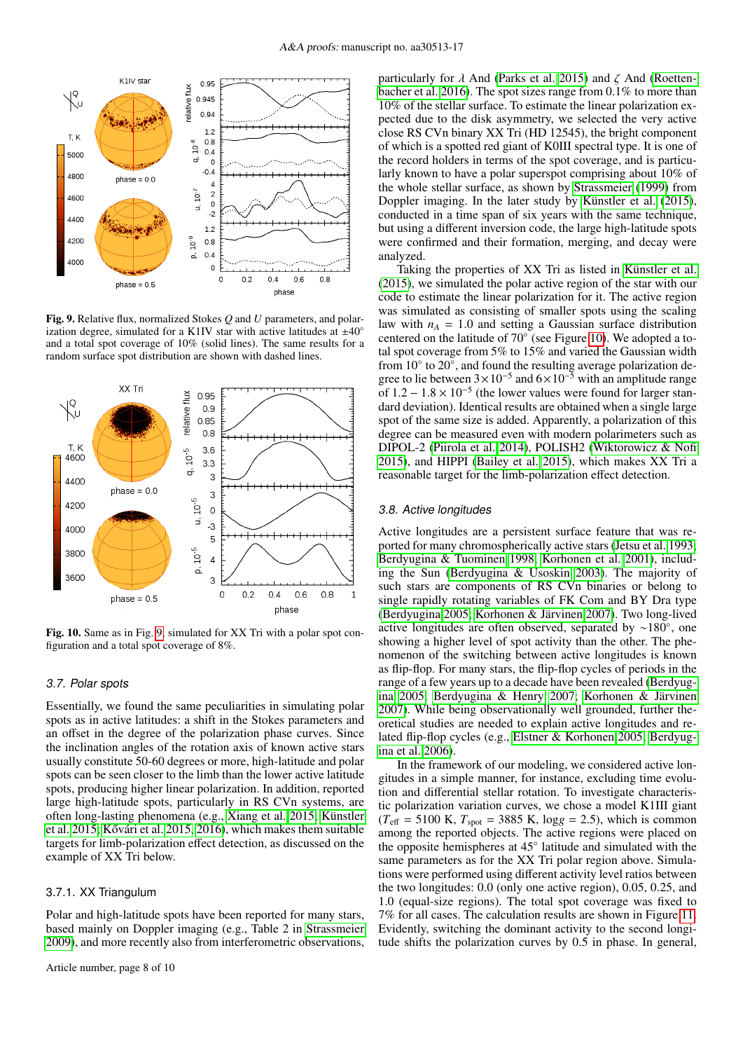

<span id="page-7-0"></span>Fig. 9. Relative flux, normalized Stokes *Q* and *U* parameters, and polarization degree, simulated for a K1IV star with active latitudes at  $\pm 40^\circ$ and a total spot coverage of 10% (solid lines). The same results for a random surface spot distribution are shown with dashed lines.



<span id="page-7-1"></span>Fig. 10. Same as in Fig. [9,](#page-7-0) simulated for XX Tri with a polar spot configuration and a total spot coverage of 8%.

# 3.7. Polar spots

Essentially, we found the same peculiarities in simulating polar spots as in active latitudes: a shift in the Stokes parameters and an offset in the degree of the polarization phase curves. Since the inclination angles of the rotation axis of known active stars usually constitute 50-60 degrees or more, high-latitude and polar spots can be seen closer to the limb than the lower active latitude spots, producing higher linear polarization. In addition, reported large high-latitude spots, particularly in RS CVn systems, are often long-lasting phenomena (e.g., [Xiang et al. 2015;](#page-9-26) [Künstler](#page-9-27) [et al. 2015;](#page-9-27) Kővári et al. 2015, [2016\)](#page-9-29), which makes them suitable targets for limb-polarization effect detection, as discussed on the example of XX Tri below.

#### 3.7.1. XX Triangulum

Polar and high-latitude spots have been reported for many stars, based mainly on Doppler imaging (e.g., Table 2 in [Strassmeier](#page-9-0) [2009\)](#page-9-0), and more recently also from interferometric observations,

particularly for  $\lambda$  And [\(Parks et al. 2015\)](#page-9-30) and  $\zeta$  And [\(Roetten](#page-9-31)[bacher et al. 2016\)](#page-9-31). The spot sizes range from 0.1% to more than 10% of the stellar surface. To estimate the linear polarization expected due to the disk asymmetry, we selected the very active close RS CVn binary XX Tri (HD 12545), the bright component of which is a spotted red giant of K0III spectral type. It is one of the record holders in terms of the spot coverage, and is particularly known to have a polar superspot comprising about 10% of the whole stellar surface, as shown by [Strassmeier](#page-9-32) [\(1999\)](#page-9-32) from Doppler imaging. In the later study by [Künstler et al.](#page-9-27) [\(2015\)](#page-9-27), conducted in a time span of six years with the same technique, but using a different inversion code, the large high-latitude spots were confirmed and their formation, merging, and decay were analyzed.

Taking the properties of XX Tri as listed in [Künstler et al.](#page-9-27) [\(2015\)](#page-9-27), we simulated the polar active region of the star with our code to estimate the linear polarization for it. The active region was simulated as consisting of smaller spots using the scaling law with  $n_A = 1.0$  and setting a Gaussian surface distribution centered on the latitude of 70◦ (see Figure [10\)](#page-7-1). We adopted a total spot coverage from 5% to 15% and varied the Gaussian width from  $10^{\circ}$  to  $20^{\circ}$ , and found the resulting average polarization degree to lie between  $3 \times 10^{-5}$  and  $6 \times 10^{-5}$  with an amplitude range of  $1.2 - 1.8 \times 10^{-5}$  (the lower values were found for larger stan-<br>dard deviation) Identical results are obtained when a single large dard deviation). Identical results are obtained when a single large spot of the same size is added. Apparently, a polarization of this degree can be measured even with modern polarimeters such as DIPOL-2 [\(Piirola et al. 2014\)](#page-9-33), POLISH2 [\(Wiktorowicz & Nofi](#page-9-34) [2015\)](#page-9-34), and HIPPI [\(Bailey et al. 2015\)](#page-8-8), which makes XX Tri a reasonable target for the limb-polarization effect detection.

#### 3.8. Active longitudes

Active longitudes are a persistent surface feature that was reported for many chromospherically active stars [\(Jetsu et al. 1993;](#page-9-35) [Berdyugina & Tuominen 1998;](#page-8-9) [Korhonen et al. 2001\)](#page-9-36), including the Sun [\(Berdyugina & Usoskin 2003\)](#page-8-10). The majority of such stars are components of RS CVn binaries or belong to single rapidly rotating variables of FK Com and BY Dra type [\(Berdyugina 2005;](#page-8-0) [Korhonen & Järvinen 2007\)](#page-9-37). Two long-lived active longitudes are often observed, separated by ∼180◦ , one showing a higher level of spot activity than the other. The phenomenon of the switching between active longitudes is known as flip-flop. For many stars, the flip-flop cycles of periods in the range of a few years up to a decade have been revealed [\(Berdyug](#page-8-0)[ina 2005;](#page-8-0) [Berdyugina & Henry 2007;](#page-8-11) [Korhonen & Järvinen](#page-9-37) [2007\)](#page-9-37). While being observationally well grounded, further theoretical studies are needed to explain active longitudes and related flip-flop cycles (e.g., [Elstner & Korhonen 2005;](#page-9-38) [Berdyug](#page-8-12)[ina et al. 2006\)](#page-8-12).

In the framework of our modeling, we considered active longitudes in a simple manner, for instance, excluding time evolution and differential stellar rotation. To investigate characteristic polarization variation curves, we chose a model K1III giant  $(T_{\text{eff}} = 5100 \text{ K}, T_{\text{spot}} = 3885 \text{ K}, \log g = 2.5)$ , which is common among the reported objects. The active regions were placed on the opposite hemispheres at 45◦ latitude and simulated with the same parameters as for the XX Tri polar region above. Simulations were performed using different activity level ratios between the two longitudes: 0.0 (only one active region), 0.05, 0.25, and 1.0 (equal-size regions). The total spot coverage was fixed to 7% for all cases. The calculation results are shown in Figure [11.](#page-8-13) Evidently, switching the dominant activity to the second longitude shifts the polarization curves by 0.5 in phase. In general,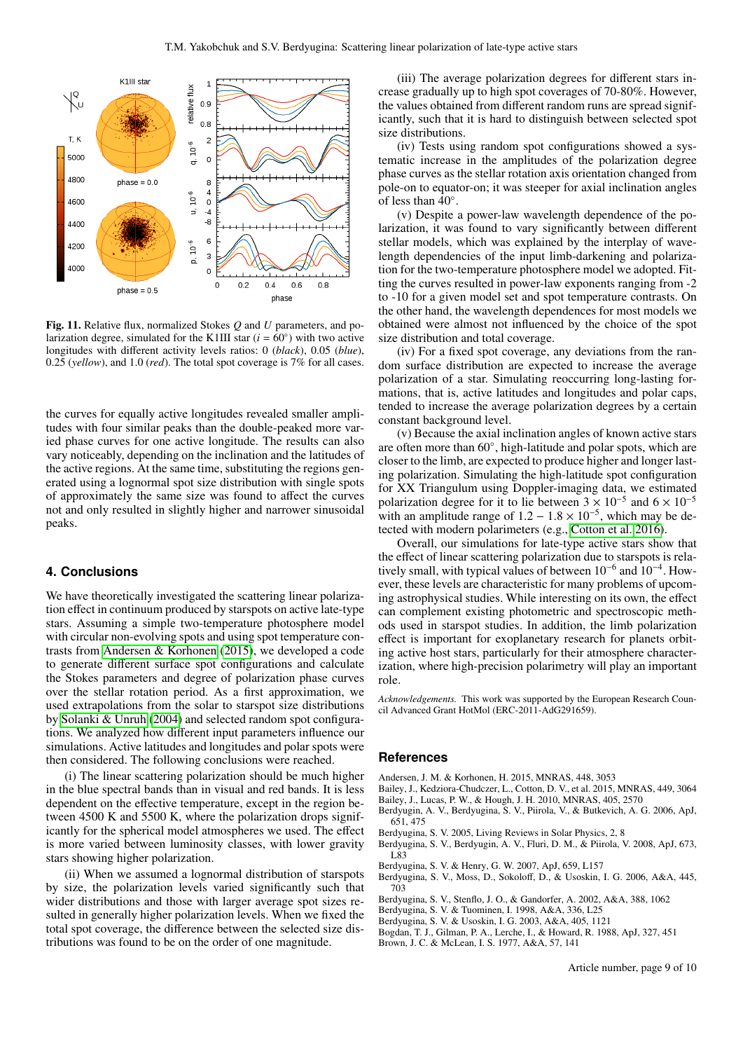

<span id="page-8-13"></span>Fig. 11. Relative flux, normalized Stokes *Q* and *U* parameters, and polarization degree, simulated for the K1III star  $(i = 60^{\circ})$  with two active longitudes with different activity levels ratios: 0 (*black*), 0.05 (*blue*), 0.25 (*yellow*), and 1.0 (*red*). The total spot coverage is 7% for all cases.

the curves for equally active longitudes revealed smaller amplitudes with four similar peaks than the double-peaked more varied phase curves for one active longitude. The results can also vary noticeably, depending on the inclination and the latitudes of the active regions. At the same time, substituting the regions generated using a lognormal spot size distribution with single spots of approximately the same size was found to affect the curves not and only resulted in slightly higher and narrower sinusoidal peaks.

# **4. Conclusions**

We have theoretically investigated the scattering linear polarization effect in continuum produced by starspots on active late-type stars. Assuming a simple two-temperature photosphere model with circular non-evolving spots and using spot temperature contrasts from [Andersen & Korhonen](#page-8-5) [\(2015\)](#page-8-5), we developed a code to generate different surface spot configurations and calculate the Stokes parameters and degree of polarization phase curves over the stellar rotation period. As a first approximation, we used extrapolations from the solar to starspot size distributions by [Solanki & Unruh](#page-9-19) [\(2004\)](#page-9-19) and selected random spot configurations. We analyzed how different input parameters influence our simulations. Active latitudes and longitudes and polar spots were then considered. The following conclusions were reached.

(i) The linear scattering polarization should be much higher in the blue spectral bands than in visual and red bands. It is less dependent on the effective temperature, except in the region between 4500 K and 5500 K, where the polarization drops significantly for the spherical model atmospheres we used. The effect is more varied between luminosity classes, with lower gravity stars showing higher polarization.

(ii) When we assumed a lognormal distribution of starspots by size, the polarization levels varied significantly such that wider distributions and those with larger average spot sizes resulted in generally higher polarization levels. When we fixed the total spot coverage, the difference between the selected size distributions was found to be on the order of one magnitude.

(iii) The average polarization degrees for different stars increase gradually up to high spot coverages of 70-80%. However, the values obtained from different random runs are spread significantly, such that it is hard to distinguish between selected spot size distributions.

(iv) Tests using random spot configurations showed a systematic increase in the amplitudes of the polarization degree phase curves as the stellar rotation axis orientation changed from pole-on to equator-on; it was steeper for axial inclination angles of less than  $40^\circ$ .

(v) Despite a power-law wavelength dependence of the polarization, it was found to vary significantly between different stellar models, which was explained by the interplay of wavelength dependencies of the input limb-darkening and polarization for the two-temperature photosphere model we adopted. Fitting the curves resulted in power-law exponents ranging from -2 to -10 for a given model set and spot temperature contrasts. On the other hand, the wavelength dependences for most models we obtained were almost not influenced by the choice of the spot size distribution and total coverage.

(iv) For a fixed spot coverage, any deviations from the random surface distribution are expected to increase the average polarization of a star. Simulating reoccurring long-lasting formations, that is, active latitudes and longitudes and polar caps, tended to increase the average polarization degrees by a certain constant background level.

(v) Because the axial inclination angles of known active stars are often more than 60◦ , high-latitude and polar spots, which are closer to the limb, are expected to produce higher and longer lasting polarization. Simulating the high-latitude spot configuration for XX Triangulum using Doppler-imaging data, we estimated polarization degree for it to lie between  $3 \times 10^{-5}$  and  $6 \times 10^{-5}$ with an amplitude range of  $1.2 - 1.8 \times 10^{-5}$ , which may be detected with modern polarimeters (e.g. Cotton et al. 2016) tected with modern polarimeters (e.g., [Cotton et al. 2016\)](#page-9-2).

Overall, our simulations for late-type active stars show that the effect of linear scattering polarization due to starspots is relatively small, with typical values of between  $10^{-6}$  and  $10^{-4}$ . However, these levels are characteristic for many problems of upcoming astrophysical studies. While interesting on its own, the effect can complement existing photometric and spectroscopic methods used in starspot studies. In addition, the limb polarization effect is important for exoplanetary research for planets orbiting active host stars, particularly for their atmosphere characterization, where high-precision polarimetry will play an important role.

*Acknowledgements.* This work was supported by the European Research Council Advanced Grant HotMol (ERC-2011-AdG291659).

# **References**

- <span id="page-8-5"></span>Andersen, J. M. & Korhonen, H. 2015, MNRAS, 448, 3053
- <span id="page-8-8"></span>Bailey, J., Kedziora-Chudczer, L., Cotton, D. V., et al. 2015, MNRAS, 449, 3064
- <span id="page-8-2"></span>Bailey, J., Lucas, P. W., & Hough, J. H. 2010, MNRAS, 405, 2570
- <span id="page-8-4"></span>Berdyugin, A. V., Berdyugina, S. V., Piirola, V., & Butkevich, A. G. 2006, ApJ, 651, 475
- <span id="page-8-0"></span>Berdyugina, S. V. 2005, Living Reviews in Solar Physics, 2, 8
- <span id="page-8-1"></span>Berdyugina, S. V., Berdyugin, A. V., Fluri, D. M., & Piirola, V. 2008, ApJ, 673, L83
- <span id="page-8-11"></span>Berdyugina, S. V. & Henry, G. W. 2007, ApJ, 659, L157
- <span id="page-8-12"></span>Berdyugina, S. V., Moss, D., Sokoloff, D., & Usoskin, I. G. 2006, A&A, 445, 703
- <span id="page-8-7"></span>Berdyugina, S. V., Stenflo, J. O., & Gandorfer, A. 2002, A&A, 388, 1062
- <span id="page-8-9"></span>Berdyugina, S. V. & Tuominen, I. 1998, A&A, 336, L25
- <span id="page-8-10"></span>Berdyugina, S. V. & Usoskin, I. G. 2003, A&A, 405, 1121
- <span id="page-8-6"></span>Bogdan, T. J., Gilman, P. A., Lerche, I., & Howard, R. 1988, ApJ, 327, 451
- <span id="page-8-3"></span>Brown, J. C. & McLean, I. S. 1977, A&A, 57, 141

Article number, page 9 of 10